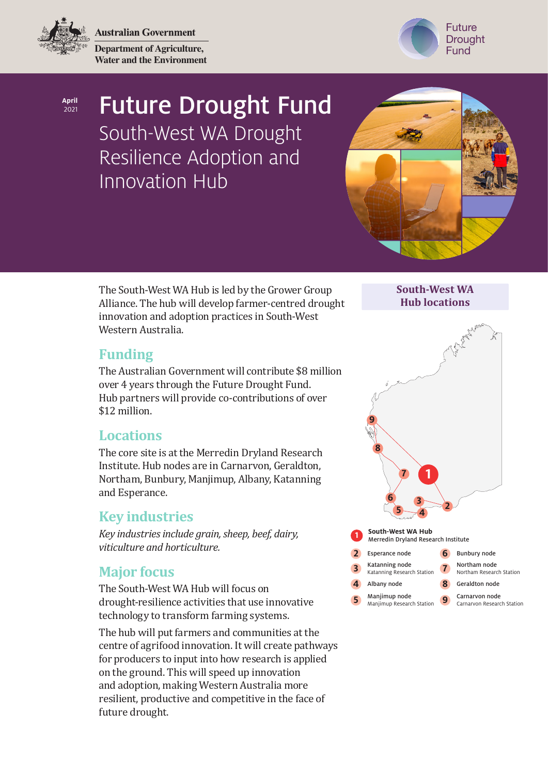**Australian Government** 

**Department of Agriculture, Water and the Environment**



**April** 2021

# Future Drought Fund

South-West WA Drought Resilience Adoption and Innovation Hub



The South-West WA Hub is led by the Grower Group Alliance. The hub will develop farmer-centred drought innovation and adoption practices in South-West Western Australia.

**South-West WA Hub locations**

# **Funding**

The Australian Government will contribute \$8 million over 4 years through the Future Drought Fund. Hub partners will provide co-contributions of over \$12 million.

### **Locations**

The core site is at the Merredin Dryland Research Institute. Hub nodes are in Carnarvon, Geraldton, Northam, Bunbury, Manjimup, Albany, Katanning and Esperance.

# **Key industries**

*Key industries include grain, sheep, beef, dairy, viticulture and horticulture.*

# **Major focus**

The South-West WA Hub will focus on drought-resilience activities that use innovative technology to transform farming systems.

The hub will put farmers and communities at the centre of agrifood innovation. It will create pathways for producers to input into how research is applied on the ground. This will speed up innovation and adoption, making Western Australia more resilient, productive and competitive in the face of future drought.



Manjimup Research Station

**9** Carnarvon node<br>
Carnarvon Research Station